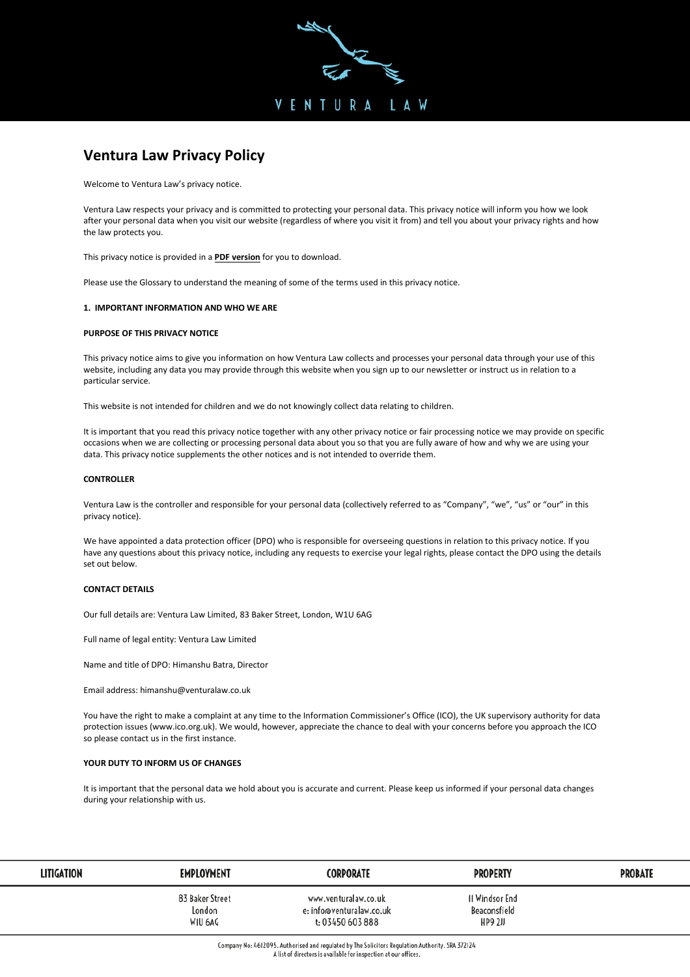

# **Ventura Law Privacy Policy**

Welcome to Ventura Law's privacy notice.

Ventura Law respects your privacy and is committed to protecting your personal data. This privacy notice will inform you how we look after your personal data when you visit our website (regardless of where you visit it from) and tell you about your privacy rights and how the law protects you.

This privacy notice is provided in a **PDF version** for you to download.

Please use the Glossary to understand the meaning of some of the terms used in this privacy notice.

#### **1. IMPORTANT INFORMATION AND WHO WE ARE**

#### **PURPOSE OF THIS PRIVACY NOTICE**

This privacy notice aims to give you information on how Ventura Law collects and processes your personal data through your use of this website, including any data you may provide through this website when you sign up to our newsletter or instruct us in relation to a particular service.

This website is not intended for children and we do not knowingly collect data relating to children.

It is important that you read this privacy notice together with any other privacy notice or fair processing notice we may provide on specific occasions when we are collecting or processing personal data about you so that you are fully aware of how and why we are using your data. This privacy notice supplements the other notices and is not intended to override them.

## **CONTROLLER**

Ventura Law is the controller and responsible for your personal data (collectively referred to as "Company", "we", "us" or "our" in this privacy notice).

We have appointed a data protection officer (DPO) who is responsible for overseeing questions in relation to this privacy notice. If you have any questions about this privacy notice, including any requests to exercise your legal rights, please contact the DPO using the details set out below.

# **CONTACT DETAILS**

Our full details are: Ventura Law Limited, 83 Baker Street, London, W1U 6AG

Full name of legal entity: Ventura Law Limited

Name and title of DPO: Himanshu Batra, Director

Email address: himanshu@venturalaw.co.uk

You have the right to make a complaint at any time to the Information Commissioner's Office (ICO), the UK supervisory authority for data protection issues (www.ico.org.uk). We would, however, appreciate the chance to deal with your concerns before you approach the ICO so please contact us in the first instance.

# **YOUR DUTY TO INFORM US OF CHANGES**

It is important that the personal data we hold about you is accurate and current. Please keep us informed if your personal data changes during your relationship with us.

| LITIGATION | <b>EMPLOYMENT</b>                    | <b>CORPORATE</b>                                                     | <b>PROPERTY</b>                                  | <b>PROBATE</b> |
|------------|--------------------------------------|----------------------------------------------------------------------|--------------------------------------------------|----------------|
|            | 83 Baker Street<br>London<br>WIU 6AG | www.venturalaw.co.uk<br>e: info@venturalaw.co.uk<br>t: 03450 603 888 | II Windsor End<br>Beaconsfield<br><b>HP9 2JJ</b> |                |

Company No: 4612095. Authorised and regulated by The Solicitors Regulation Authority. SRA 372124 A list of directors is available for inspection at our offices.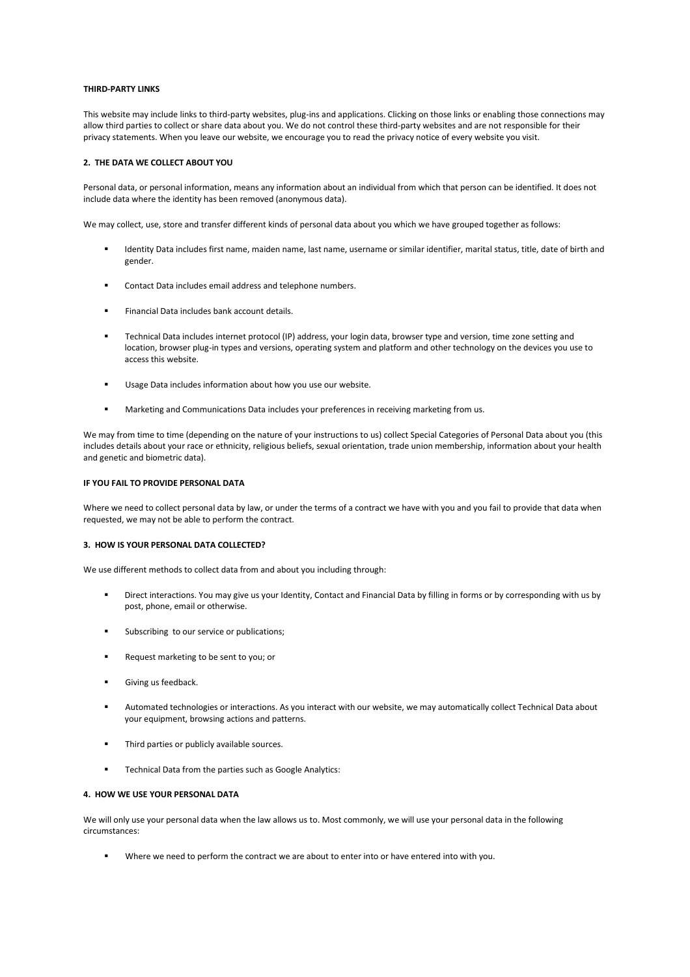## **THIRD-PARTY LINKS**

This website may include links to third-party websites, plug-ins and applications. Clicking on those links or enabling those connections may allow third parties to collect or share data about you. We do not control these third-party websites and are not responsible for their privacy statements. When you leave our website, we encourage you to read the privacy notice of every website you visit.

#### **2. THE DATA WE COLLECT ABOUT YOU**

Personal data, or personal information, means any information about an individual from which that person can be identified. It does not include data where the identity has been removed (anonymous data).

We may collect, use, store and transfer different kinds of personal data about you which we have grouped together as follows:

- Identity Data includes first name, maiden name, last name, username or similar identifier, marital status, title, date of birth and gender.
- Contact Data includes email address and telephone numbers.
- Financial Data includes bank account details.
- Technical Data includes internet protocol (IP) address, your login data, browser type and version, time zone setting and location, browser plug-in types and versions, operating system and platform and other technology on the devices you use to access this website.
- Usage Data includes information about how you use our website.
- Marketing and Communications Data includes your preferences in receiving marketing from us.

We may from time to time (depending on the nature of your instructions to us) collect Special Categories of Personal Data about you (this includes details about your race or ethnicity, religious beliefs, sexual orientation, trade union membership, information about your health and genetic and biometric data).

#### **IF YOU FAIL TO PROVIDE PERSONAL DATA**

Where we need to collect personal data by law, or under the terms of a contract we have with you and you fail to provide that data when requested, we may not be able to perform the contract.

## **3. HOW IS YOUR PERSONAL DATA COLLECTED?**

We use different methods to collect data from and about you including through:

- Direct interactions. You may give us your Identity, Contact and Financial Data by filling in forms or by corresponding with us by post, phone, email or otherwise.
- **Subscribing to our service or publications;**
- **Request marketing to be sent to you; or**
- Giving us feedback.
- Automated technologies or interactions. As you interact with our website, we may automatically collect Technical Data about your equipment, browsing actions and patterns.
- **Third parties or publicly available sources.**
- Technical Data from the parties such as Google Analytics:

## **4. HOW WE USE YOUR PERSONAL DATA**

We will only use your personal data when the law allows us to. Most commonly, we will use your personal data in the following circumstances:

Where we need to perform the contract we are about to enter into or have entered into with you.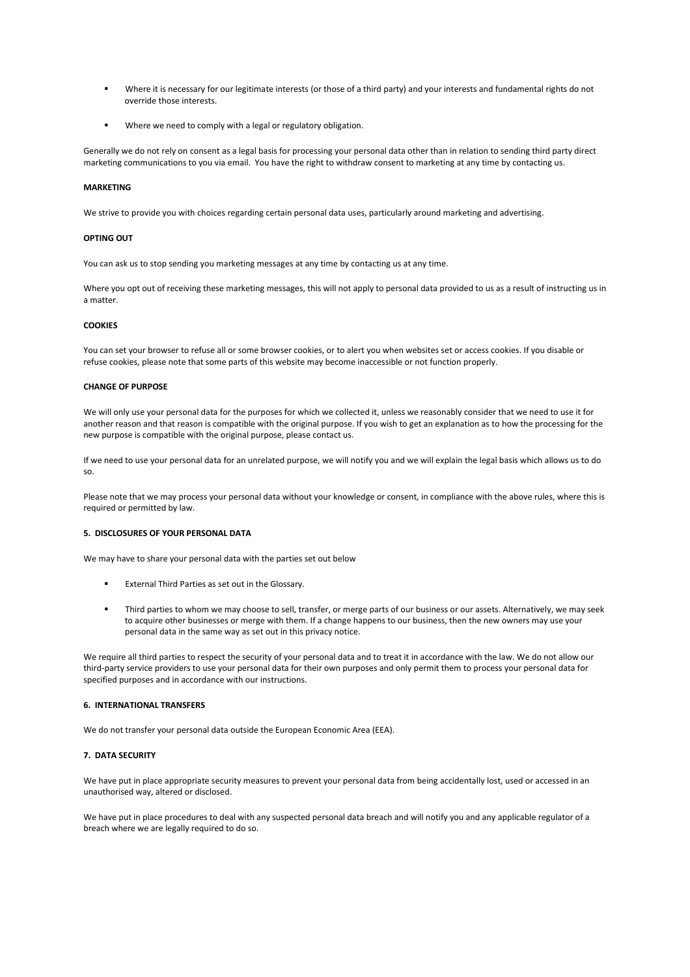- Where it is necessary for our legitimate interests (or those of a third party) and your interests and fundamental rights do not override those interests.
- **Where we need to comply with a legal or regulatory obligation.**

Generally we do not rely on consent as a legal basis for processing your personal data other than in relation to sending third party direct marketing communications to you via email. You have the right to withdraw consent to marketing at any time by contacting us.

#### **MARKETING**

We strive to provide you with choices regarding certain personal data uses, particularly around marketing and advertising.

## **OPTING OUT**

You can ask us to stop sending you marketing messages at any time by contacting us at any time.

Where you opt out of receiving these marketing messages, this will not apply to personal data provided to us as a result of instructing us in a matter.

# **COOKIES**

You can set your browser to refuse all or some browser cookies, or to alert you when websites set or access cookies. If you disable or refuse cookies, please note that some parts of this website may become inaccessible or not function properly.

#### **CHANGE OF PURPOSE**

We will only use your personal data for the purposes for which we collected it, unless we reasonably consider that we need to use it for another reason and that reason is compatible with the original purpose. If you wish to get an explanation as to how the processing for the new purpose is compatible with the original purpose, please contact us.

If we need to use your personal data for an unrelated purpose, we will notify you and we will explain the legal basis which allows us to do so.

Please note that we may process your personal data without your knowledge or consent, in compliance with the above rules, where this is required or permitted by law.

#### **5. DISCLOSURES OF YOUR PERSONAL DATA**

We may have to share your personal data with the parties set out below

- **External Third Parties as set out in the Glossary.**
- Third parties to whom we may choose to sell, transfer, or merge parts of our business or our assets. Alternatively, we may seek to acquire other businesses or merge with them. If a change happens to our business, then the new owners may use your personal data in the same way as set out in this privacy notice.

We require all third parties to respect the security of your personal data and to treat it in accordance with the law. We do not allow our third-party service providers to use your personal data for their own purposes and only permit them to process your personal data for specified purposes and in accordance with our instructions.

# **6. INTERNATIONAL TRANSFERS**

We do not transfer your personal data outside the European Economic Area (EEA).

# **7. DATA SECURITY**

We have put in place appropriate security measures to prevent your personal data from being accidentally lost, used or accessed in an unauthorised way, altered or disclosed.

We have put in place procedures to deal with any suspected personal data breach and will notify you and any applicable regulator of a breach where we are legally required to do so.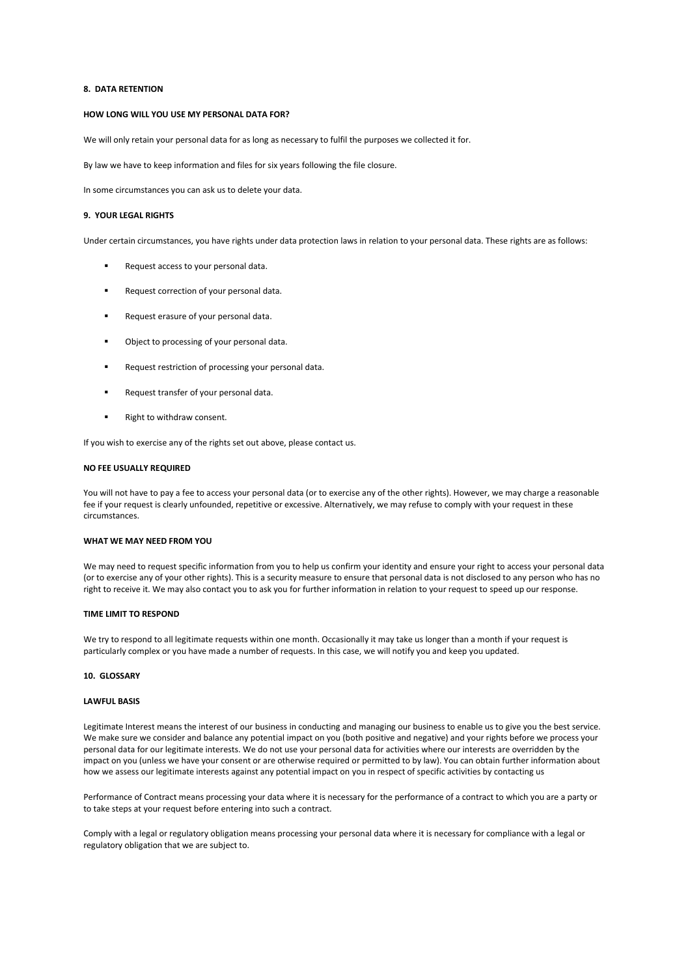# **8. DATA RETENTION**

## **HOW LONG WILL YOU USE MY PERSONAL DATA FOR?**

We will only retain your personal data for as long as necessary to fulfil the purposes we collected it for.

By law we have to keep information and files for six years following the file closure.

In some circumstances you can ask us to delete your data.

# **9. YOUR LEGAL RIGHTS**

Under certain circumstances, you have rights under data protection laws in relation to your personal data. These rights are as follows:

- Request access to your personal data.
- Request correction of your personal data.
- Request erasure of your personal data.
- **•** Object to processing of your personal data.
- **Request restriction of processing your personal data.**
- Request transfer of your personal data.
- Right to withdraw consent.

If you wish to exercise any of the rights set out above, please contact us.

#### **NO FEE USUALLY REQUIRED**

You will not have to pay a fee to access your personal data (or to exercise any of the other rights). However, we may charge a reasonable fee if your request is clearly unfounded, repetitive or excessive. Alternatively, we may refuse to comply with your request in these circumstances.

## **WHAT WE MAY NEED FROM YOU**

We may need to request specific information from you to help us confirm your identity and ensure your right to access your personal data (or to exercise any of your other rights). This is a security measure to ensure that personal data is not disclosed to any person who has no right to receive it. We may also contact you to ask you for further information in relation to your request to speed up our response.

#### **TIME LIMIT TO RESPOND**

We try to respond to all legitimate requests within one month. Occasionally it may take us longer than a month if your request is particularly complex or you have made a number of requests. In this case, we will notify you and keep you updated.

#### **10. GLOSSARY**

#### **LAWFUL BASIS**

Legitimate Interest means the interest of our business in conducting and managing our business to enable us to give you the best service. We make sure we consider and balance any potential impact on you (both positive and negative) and your rights before we process your personal data for our legitimate interests. We do not use your personal data for activities where our interests are overridden by the impact on you (unless we have your consent or are otherwise required or permitted to by law). You can obtain further information about how we assess our legitimate interests against any potential impact on you in respect of specific activities by contacting us

Performance of Contract means processing your data where it is necessary for the performance of a contract to which you are a party or to take steps at your request before entering into such a contract.

Comply with a legal or regulatory obligation means processing your personal data where it is necessary for compliance with a legal or regulatory obligation that we are subject to.